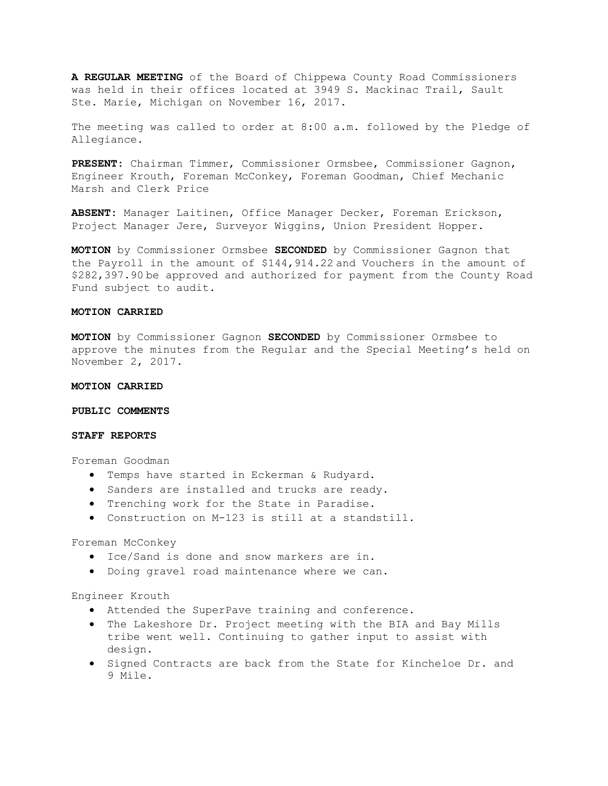**A REGULAR MEETING** of the Board of Chippewa County Road Commissioners was held in their offices located at 3949 S. Mackinac Trail, Sault Ste. Marie, Michigan on November 16, 2017.

The meeting was called to order at 8:00 a.m. followed by the Pledge of Allegiance.

**PRESENT:** Chairman Timmer, Commissioner Ormsbee, Commissioner Gagnon, Engineer Krouth, Foreman McConkey, Foreman Goodman, Chief Mechanic Marsh and Clerk Price

**ABSENT:** Manager Laitinen, Office Manager Decker, Foreman Erickson, Project Manager Jere, Surveyor Wiggins, Union President Hopper.

**MOTION** by Commissioner Ormsbee **SECONDED** by Commissioner Gagnon that the Payroll in the amount of \$144,914.22 and Vouchers in the amount of \$282,397.90 be approved and authorized for payment from the County Road Fund subject to audit.

## **MOTION CARRIED**

**MOTION** by Commissioner Gagnon **SECONDED** by Commissioner Ormsbee to approve the minutes from the Regular and the Special Meeting's held on November 2, 2017.

#### **MOTION CARRIED**

**PUBLIC COMMENTS** 

#### **STAFF REPORTS**

Foreman Goodman

- Temps have started in Eckerman & Rudyard.
- Sanders are installed and trucks are ready.
- Trenching work for the State in Paradise.
- Construction on M-123 is still at a standstill.

Foreman McConkey

- Ice/Sand is done and snow markers are in.
- Doing gravel road maintenance where we can.

Engineer Krouth

- Attended the SuperPave training and conference.
- The Lakeshore Dr. Project meeting with the BIA and Bay Mills tribe went well. Continuing to gather input to assist with design.
- Signed Contracts are back from the State for Kincheloe Dr. and 9 Mile.